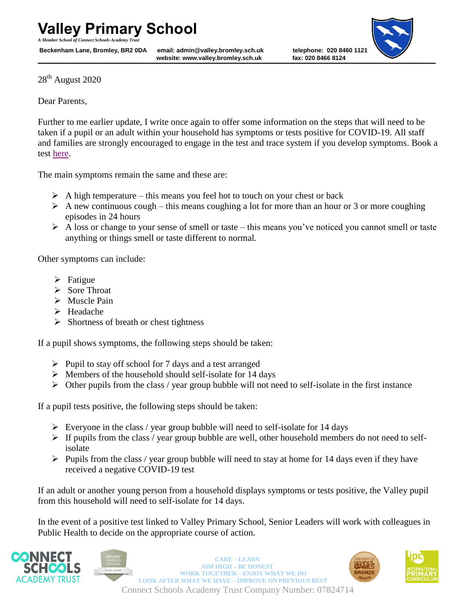*A Member School of Connect Schools Academy Trust*

**website: www.valley.bromley.sch.uk fax: 020 8466 8124** Beckenham Lane, Bromley, BR2 0DA email: admin@valley.bromley.sch.uk telephone: 020 8460 112<sup>2</sup><br>website: www.valley.bromley.sch.uk fax: 020 8466 8124



28<sup>th</sup> August 2020

Dear Parents,

Further to me earlier update, I write once again to offer some information on the steps that will need to be taken if a pupil or an adult within your household has symptoms or tests positive for COVID-19. All staff and families are strongly encouraged to engage in the test and trace system if you develop symptoms. Book a test [here.](https://www.nhs.uk/conditions/coronavirus-covid-19/testing-and-tracing/get-a-test-to-check-if-you-have-coronavirus/)

The main symptoms remain the same and these are:

- $\triangleright$  A high temperature this means you feel hot to touch on your chest or back
- $\triangleright$  A new continuous cough this means coughing a lot for more than an hour or 3 or more coughing episodes in 24 hours
- $\triangleright$  A loss or change to your sense of smell or taste this means you've noticed you cannot smell or taste anything or things smell or taste different to normal.

Other symptoms can include:

- $\triangleright$  Fatigue
- Sore Throat
- > Muscle Pain
- > Headache
- $\triangleright$  Shortness of breath or chest tightness

If a pupil shows symptoms, the following steps should be taken:

- $\triangleright$  Pupil to stay off school for 7 days and a test arranged
- $\triangleright$  Members of the household should self-isolate for 14 days
- $\triangleright$  Other pupils from the class / year group bubble will not need to self-isolate in the first instance

If a pupil tests positive, the following steps should be taken:

- $\triangleright$  Everyone in the class / year group bubble will need to self-isolate for 14 days
- $\triangleright$  If pupils from the class / year group bubble are well, other household members do not need to selfisolate
- $\triangleright$  Pupils from the class / year group bubble will need to stay at home for 14 days even if they have received a negative COVID-19 test

If an adult or another young person from a household displays symptoms or tests positive, the Valley pupil from this household will need to self-isolate for 14 days.

In the event of a positive test linked to Valley Primary School, Senior Leaders will work with colleagues in Public Health to decide on the appropriate course of action.